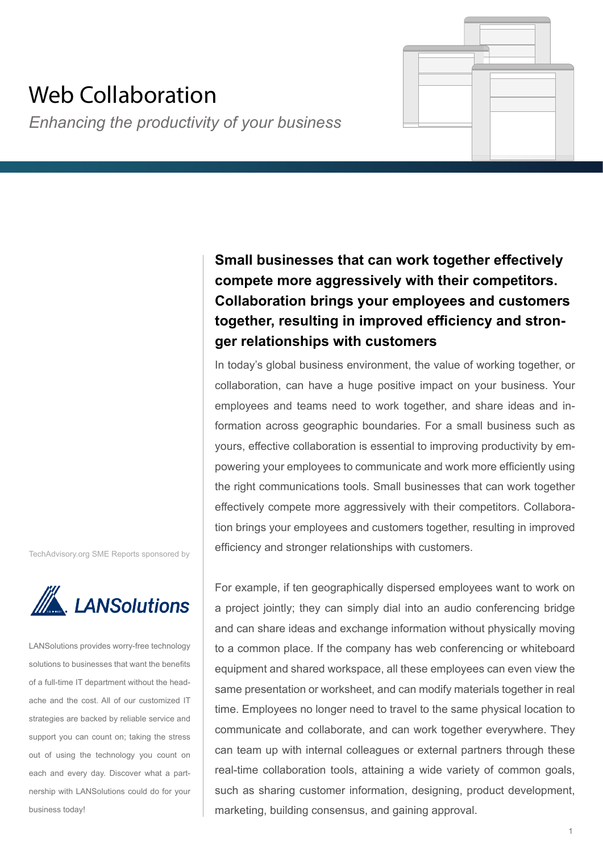# Web Collaboration

*Enhancing the productivity of your business*

**Small businesses that can work together effectively compete more aggressively with their competitors. Collaboration brings your employees and customers together, resulting in improved efficiency and stronger relationships with customers**

In today's global business environment, the value of working together, or collaboration, can have a huge positive impact on your business. Your employees and teams need to work together, and share ideas and information across geographic boundaries. For a small business such as yours, effective collaboration is essential to improving productivity by empowering your employees to communicate and work more efficiently using the right communications tools. Small businesses that can work together effectively compete more aggressively with their competitors. Collaboration brings your employees and customers together, resulting in improved efficiency and stronger relationships with customers.

TechAdvisory.org SME Reports sponsored by



LANSolutions provides worry-free technology solutions to businesses that want the benefits of a full-time IT department without the headache and the cost. All of our customized IT strategies are backed by reliable service and support you can count on; taking the stress out of using the technology you count on each and every day. Discover what a partnership with LANSolutions could do for your business today!

For example, if ten geographically dispersed employees want to work on a project jointly; they can simply dial into an audio conferencing bridge and can share ideas and exchange information without physically moving to a common place. If the company has web conferencing or whiteboard equipment and shared workspace, all these employees can even view the same presentation or worksheet, and can modify materials together in real time. Employees no longer need to travel to the same physical location to communicate and collaborate, and can work together everywhere. They can team up with internal colleagues or external partners through these real-time collaboration tools, attaining a wide variety of common goals, such as sharing customer information, designing, product development, marketing, building consensus, and gaining approval.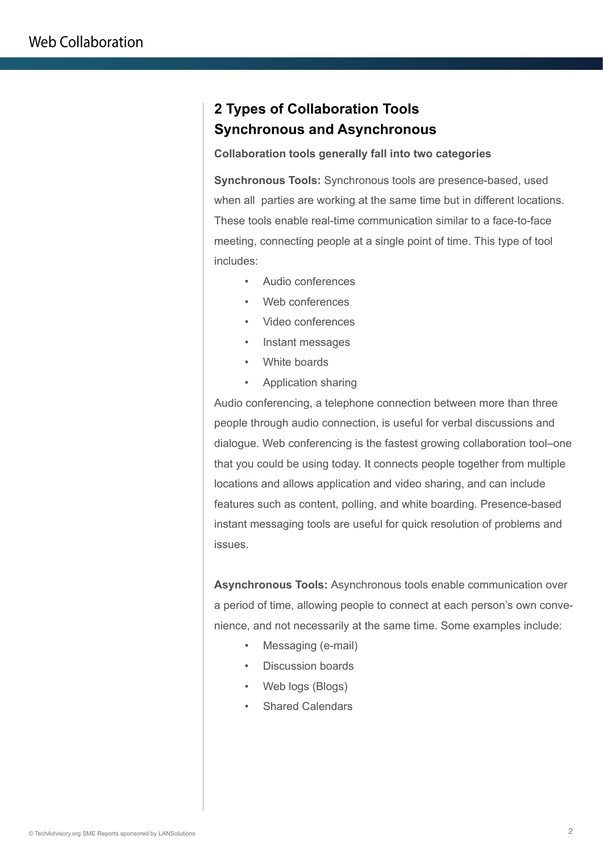## **2 Types of Collaboration Tools Synchronous and Asynchronous**

#### **Collaboration tools generally fall into two categories**

**Synchronous Tools:** Synchronous tools are presence-based, used when all parties are working at the same time but in different locations. These tools enable real-time communication similar to a face-to-face meeting, connecting people at a single point of time. This type of tool includes:

- Audio conferences
- Web conferences
- Video conferences
- Instant messages
- White boards
- Application sharing

Audio conferencing, a telephone connection between more than three people through audio connection, is useful for verbal discussions and dialogue. Web conferencing is the fastest growing collaboration tool–one that you could be using today. It connects people together from multiple locations and allows application and video sharing, and can include features such as content, polling, and white boarding. Presence-based instant messaging tools are useful for quick resolution of problems and issues.

**Asynchronous Tools:** Asynchronous tools enable communication over a period of time, allowing people to connect at each person's own convenience, and not necessarily at the same time. Some examples include:

- Messaging (e-mail)
- Discussion boards
- Web logs (Blogs)
- Shared Calendars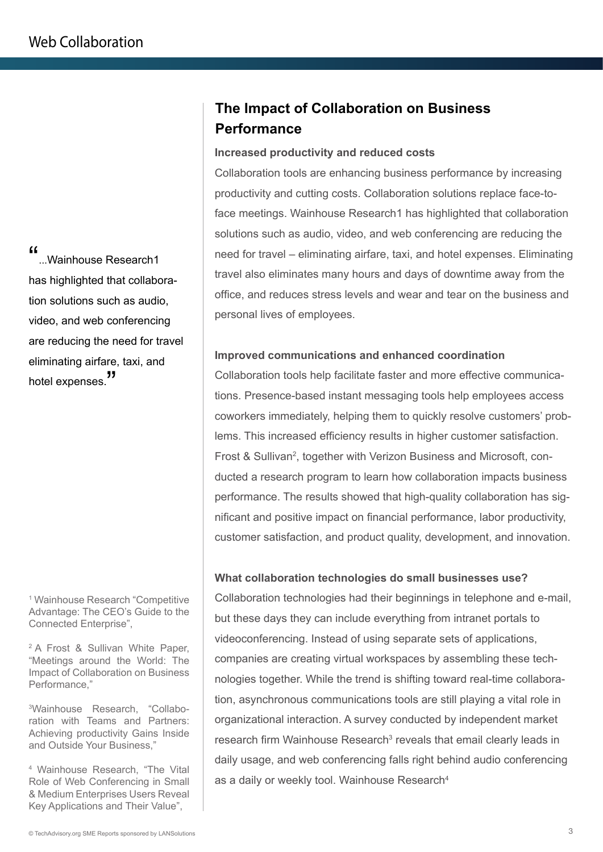"...Wainhouse Research1 has highlighted that collaboration solutions such as audio, video, and web conferencing are reducing the need for travel eliminating airfare, taxi, and hotel expenses."

1 Wainhouse Research "Competitive Advantage: The CEO's Guide to the Connected Enterprise",

2 A Frost & Sullivan White Paper, "Meetings around the World: The Impact of Collaboration on Business Performance,"

3 Wainhouse Research, "Collaboration with Teams and Partners: Achieving productivity Gains Inside and Outside Your Business,"

4 Wainhouse Research, "The Vital Role of Web Conferencing in Small & Medium Enterprises Users Reveal Key Applications and Their Value",

# **The Impact of Collaboration on Business Performance**

#### **Increased productivity and reduced costs**

Collaboration tools are enhancing business performance by increasing productivity and cutting costs. Collaboration solutions replace face-toface meetings. Wainhouse Research1 has highlighted that collaboration solutions such as audio, video, and web conferencing are reducing the need for travel – eliminating airfare, taxi, and hotel expenses. Eliminating travel also eliminates many hours and days of downtime away from the office, and reduces stress levels and wear and tear on the business and personal lives of employees.

#### **Improved communications and enhanced coordination**

Collaboration tools help facilitate faster and more effective communications. Presence-based instant messaging tools help employees access coworkers immediately, helping them to quickly resolve customers' problems. This increased efficiency results in higher customer satisfaction. Frost & Sullivan<sup>2</sup>, together with Verizon Business and Microsoft, conducted a research program to learn how collaboration impacts business performance. The results showed that high-quality collaboration has significant and positive impact on financial performance, labor productivity, customer satisfaction, and product quality, development, and innovation.

#### **What collaboration technologies do small businesses use?**

Collaboration technologies had their beginnings in telephone and e-mail, but these days they can include everything from intranet portals to videoconferencing. Instead of using separate sets of applications, companies are creating virtual workspaces by assembling these technologies together. While the trend is shifting toward real-time collaboration, asynchronous communications tools are still playing a vital role in organizational interaction. A survey conducted by independent market research firm Wainhouse Research<sup>3</sup> reveals that email clearly leads in daily usage, and web conferencing falls right behind audio conferencing as a daily or weekly tool. Wainhouse Research<sup>4</sup>